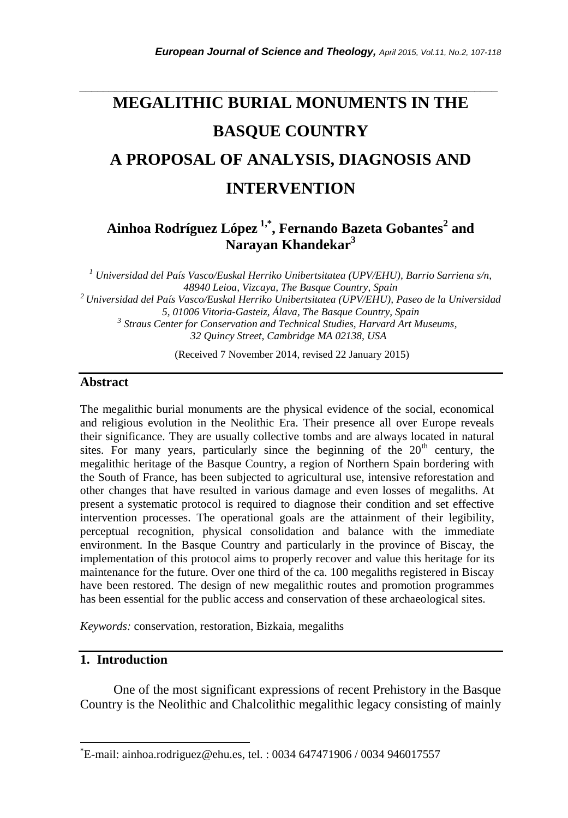# **MEGALITHIC BURIAL MONUMENTS IN THE BASQUE COUNTRY A PROPOSAL OF ANALYSIS, DIAGNOSIS AND INTERVENTION**

*\_\_\_\_\_\_\_\_\_\_\_\_\_\_\_\_\_\_\_\_\_\_\_\_\_\_\_\_\_\_\_\_\_\_\_\_\_\_\_\_\_\_\_\_\_\_\_\_\_\_\_\_\_\_\_\_\_\_\_\_\_\_\_\_\_\_\_\_\_\_\_*

## **Ainhoa Rodríguez López 1,\* , Fernando Bazeta Gobantes<sup>2</sup> and Narayan Khandekar<sup>3</sup>**

*<sup>1</sup> Universidad del País Vasco/Euskal Herriko Unibertsitatea (UPV/EHU), Barrio Sarriena s/n, 48940 Leioa, Vizcaya, The Basque Country, Spain <sup>2</sup>Universidad del País Vasco/Euskal Herriko Unibertsitatea (UPV/EHU), Paseo de la Universidad 5, 01006 Vitoria-Gasteiz, Álava, The Basque Country, Spain 3 Straus Center for Conservation and Technical Studies, Harvard Art Museums, 32 Quincy Street, Cambridge MA 02138, USA*

(Received 7 November 2014, revised 22 January 2015)

#### **Abstract**

The megalithic burial monuments are the physical evidence of the social, economical and religious evolution in the Neolithic Era. Their presence all over Europe reveals their significance. They are usually collective tombs and are always located in natural sites. For many years, particularly since the beginning of the  $20<sup>th</sup>$  century, the megalithic heritage of the Basque Country, a region of Northern Spain bordering with the South of France, has been subjected to agricultural use, intensive reforestation and other changes that have resulted in various damage and even losses of megaliths. At present a systematic protocol is required to diagnose their condition and set effective intervention processes. The operational goals are the attainment of their legibility, perceptual recognition, physical consolidation and balance with the immediate environment. In the Basque Country and particularly in the province of Biscay, the implementation of this protocol aims to properly recover and value this heritage for its maintenance for the future. Over one third of the ca. 100 megaliths registered in Biscay have been restored. The design of new megalithic routes and promotion programmes has been essential for the public access and conservation of these archaeological sites.

*Keywords:* conservation, restoration, Bizkaia, megaliths

## **1. Introduction**

l

One of the most significant expressions of recent Prehistory in the Basque Country is the Neolithic and Chalcolithic megalithic legacy consisting of mainly

<sup>\*</sup>E-mail: ainhoa.rodriguez@ehu.es, tel. : 0034 647471906 / 0034 946017557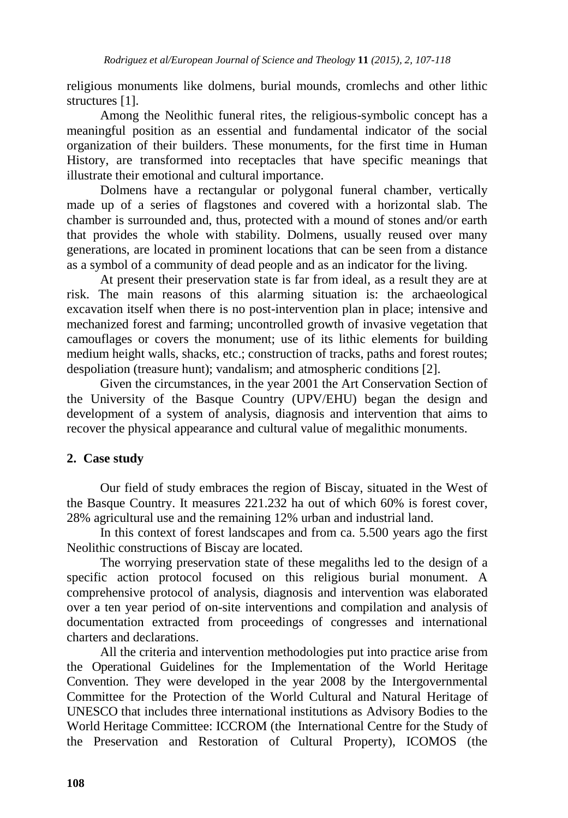religious monuments like dolmens, burial mounds, cromlechs and other lithic structures [1].

Among the Neolithic funeral rites, the religious-symbolic concept has a meaningful position as an essential and fundamental indicator of the social organization of their builders. These monuments, for the first time in Human History, are transformed into receptacles that have specific meanings that illustrate their emotional and cultural importance.

Dolmens have a rectangular or polygonal funeral chamber, vertically made up of a series of flagstones and covered with a horizontal slab. The chamber is surrounded and, thus, protected with a mound of stones and/or earth that provides the whole with stability. Dolmens, usually reused over many generations, are located in prominent locations that can be seen from a distance as a symbol of a community of dead people and as an indicator for the living.

At present their preservation state is far from ideal, as a result they are at risk. The main reasons of this alarming situation is: the archaeological excavation itself when there is no post-intervention plan in place; intensive and mechanized forest and farming; uncontrolled growth of invasive vegetation that camouflages or covers the monument; use of its lithic elements for building medium height walls, shacks, etc.; construction of tracks, paths and forest routes; despoliation (treasure hunt); vandalism; and atmospheric conditions [2].

Given the circumstances, in the year 2001 the Art Conservation Section of the University of the Basque Country (UPV/EHU) began the design and development of a system of analysis, diagnosis and intervention that aims to recover the physical appearance and cultural value of megalithic monuments.

## **2. Case study**

Our field of study embraces the region of Biscay, situated in the West of the Basque Country. It measures 221.232 ha out of which 60% is forest cover, 28% agricultural use and the remaining 12% urban and industrial land.

In this context of forest landscapes and from ca. 5.500 years ago the first Neolithic constructions of Biscay are located.

The worrying preservation state of these megaliths led to the design of a specific action protocol focused on this religious burial monument. A comprehensive protocol of analysis, diagnosis and intervention was elaborated over a ten year period of on-site interventions and compilation and analysis of documentation extracted from proceedings of congresses and international charters and declarations.

All the criteria and intervention methodologies put into practice arise from the Operational Guidelines for the Implementation of the World Heritage Convention. They were developed in the year 2008 by the Intergovernmental Committee for the Protection of the World Cultural and Natural Heritage of UNESCO that includes three international institutions as Advisory Bodies to the World Heritage Committee: ICCROM (the International Centre for the Study of the Preservation and Restoration of Cultural Property), ICOMOS (the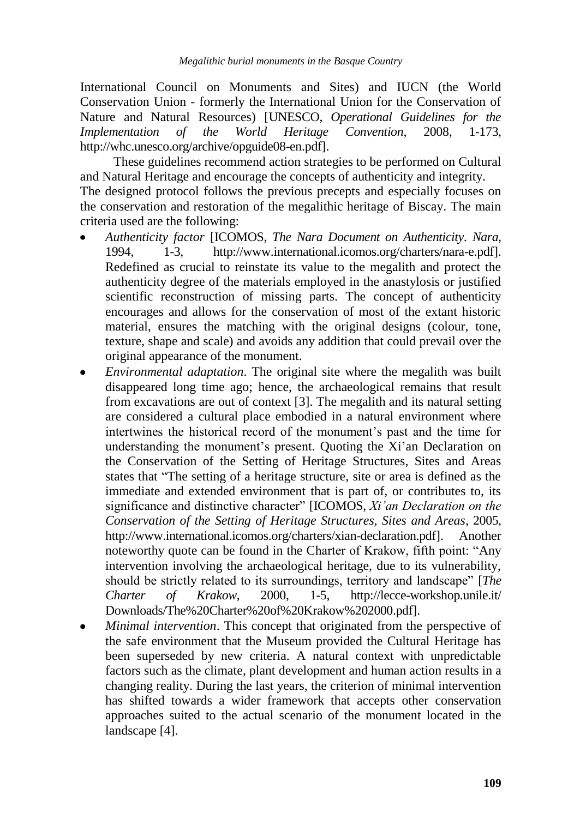International Council on Monuments and Sites) and IUCN (the World Conservation Union - formerly the International Union for the Conservation of Nature and Natural Resources) [UNESCO, *Operational Guidelines for the Implementation of the World Heritage Convention*, 2008, 1-173, [http://whc.unesco.org/archive/opguide08-en.pdf\]](http://whc.unesco.org/archive/opguide08-es.pdf).

These guidelines recommend action strategies to be performed on Cultural and Natural Heritage and encourage the concepts of authenticity and integrity. The designed protocol follows the previous precepts and especially focuses on the conservation and restoration of the megalithic heritage of Biscay. The main criteria used are the following:

- *Authenticity factor* [ICOMOS, *The Nara Document on Authenticity. Nara*, 1994, 1-3, http://www.international.icomos.org/charters/nara-e.pdf]. Redefined as crucial to reinstate its value to the megalith and protect the authenticity degree of the materials employed in the anastylosis or justified scientific reconstruction of missing parts. The concept of authenticity encourages and allows for the conservation of most of the extant historic material, ensures the matching with the original designs (colour, tone, texture, shape and scale) and avoids any addition that could prevail over the original appearance of the monument.
- *Environmental adaptation*. The original site where the megalith was built disappeared long time ago; hence, the archaeological remains that result from excavations are out of context [3]. The megalith and its natural setting are considered a cultural place embodied in a natural environment where intertwines the historical record of the monument's past and the time for understanding the monument's present. Quoting the Xi'an Declaration on the Conservation of the Setting of Heritage Structures, Sites and Areas states that "The setting of a heritage structure, site or area is defined as the immediate and extended environment that is part of, or contributes to, its significance and distinctive character" [ICOMOS, *Xi'an Declaration on the Conservation of the Setting of Heritage Structures, Sites and Areas*, 2005, http://www.international.icomos.org/charters/xian-declaration.pdf]. Another noteworthy quote can be found in the Charter of Krakow, fifth point: "Any intervention involving the archaeological heritage, due to its vulnerability, should be strictly related to its surroundings, territory and landscape" [*The Charter of Krakow*, 2000, 1-5, http://lecce-workshop.unile.it/ Downloads/The%20Charter%20of%20Krakow%202000.pdf].
- *Minimal intervention*. This concept that originated from the perspective of the safe environment that the Museum provided the Cultural Heritage has been superseded by new criteria. A natural context with unpredictable factors such as the climate, plant development and human action results in a changing reality. During the last years, the criterion of minimal intervention has shifted towards a wider framework that accepts other conservation approaches suited to the actual scenario of the monument located in the landscape [4].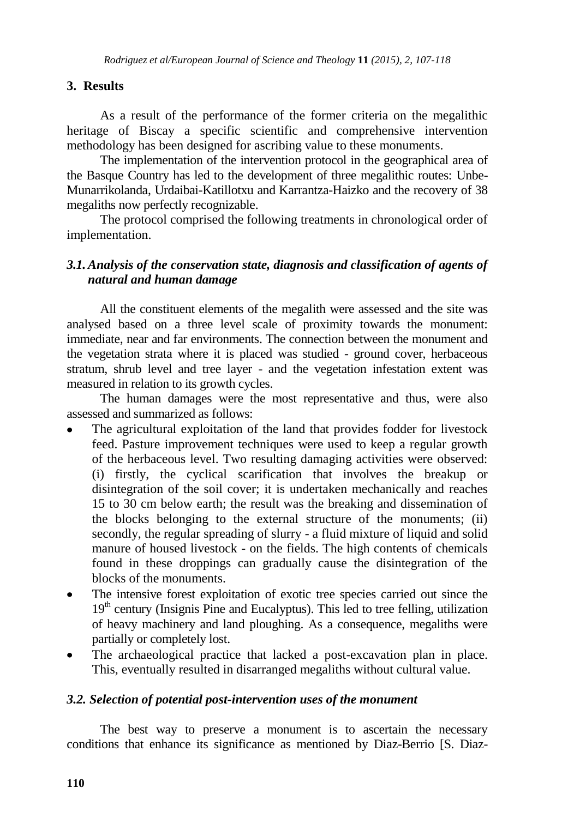## **3. Results**

As a result of the performance of the former criteria on the megalithic heritage of Biscay a specific scientific and comprehensive intervention methodology has been designed for ascribing value to these monuments.

The implementation of the intervention protocol in the geographical area of the Basque Country has led to the development of three megalithic routes: Unbe-Munarrikolanda, Urdaibai-Katillotxu and Karrantza-Haizko and the recovery of 38 megaliths now perfectly recognizable.

The protocol comprised the following treatments in chronological order of implementation.

## *3.1.Analysis of the conservation state, diagnosis and classification of agents of natural and human damage*

All the constituent elements of the megalith were assessed and the site was analysed based on a three level scale of proximity towards the monument: immediate, near and far environments. The connection between the monument and the vegetation strata where it is placed was studied - ground cover, herbaceous stratum, shrub level and tree layer - and the vegetation infestation extent was measured in relation to its growth cycles.

The human damages were the most representative and thus, were also assessed and summarized as follows:

- The agricultural exploitation of the land that provides fodder for livestock feed. Pasture improvement techniques were used to keep a regular growth of the herbaceous level. Two resulting damaging activities were observed: (i) firstly, the cyclical scarification that involves the breakup or disintegration of the soil cover; it is undertaken mechanically and reaches 15 to 30 cm below earth; the result was the breaking and dissemination of the blocks belonging to the external structure of the monuments; (ii) secondly, the regular spreading of slurry - a fluid mixture of liquid and solid manure of housed livestock - on the fields. The high contents of chemicals found in these droppings can gradually cause the disintegration of the blocks of the monuments.
- The intensive forest exploitation of exotic tree species carried out since the  $19<sup>th</sup>$  century (Insignis Pine and Eucalyptus). This led to tree felling, utilization of heavy machinery and land ploughing. As a consequence, megaliths were partially or completely lost.
- The archaeological practice that lacked a post-excavation plan in place. This, eventually resulted in disarranged megaliths without cultural value.

## *3.2. Selection of potential post-intervention uses of the monument*

The best way to preserve a monument is to ascertain the necessary conditions that enhance its significance as mentioned by Diaz-Berrio [S. Diaz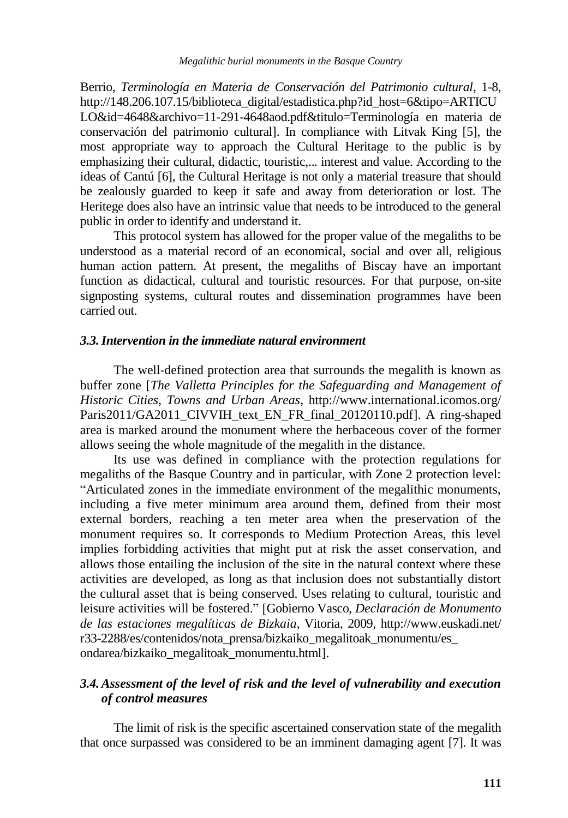Berrio, *Terminología en Materia de Conservación del Patrimonio cultural*, 1-8, http://148.206.107.15/biblioteca\_digital/estadistica.php?id\_host=6&tipo=ARTICU LO&id=4648&archivo=11-291-4648aod.pdf&titulo=Terminología en materia de conservación del patrimonio cultural]. In compliance with Litvak King [5], the most appropriate way to approach the Cultural Heritage to the public is by emphasizing their cultural, didactic, touristic,... interest and value. According to the ideas of Cantú [6], the Cultural Heritage is not only a material treasure that should be zealously guarded to keep it safe and away from deterioration or lost. The Heritege does also have an intrinsic value that needs to be introduced to the general public in order to identify and understand it.

This protocol system has allowed for the proper value of the megaliths to be understood as a material record of an economical, social and over all, religious human action pattern. At present, the megaliths of Biscay have an important function as didactical, cultural and touristic resources. For that purpose, on-site signposting systems, cultural routes and dissemination programmes have been carried out.

#### *3.3.Intervention in the immediate natural environment*

The well-defined protection area that surrounds the megalith is known as buffer zone [*The Valletta Principles for the Safeguarding and Management of Historic Cities, Towns and Urban Areas*, http://www.international.icomos.org/ Paris2011/GA2011\_CIVVIH\_text\_EN\_FR\_final\_20120110.pdf]. A ring-shaped area is marked around the monument where the herbaceous cover of the former allows seeing the whole magnitude of the megalith in the distance.

Its use was defined in compliance with the protection regulations for megaliths of the Basque Country and in particular, with Zone 2 protection level: "Articulated zones in the immediate environment of the megalithic monuments, including a five meter minimum area around them, defined from their most external borders, reaching a ten meter area when the preservation of the monument requires so. It corresponds to Medium Protection Areas, this level implies forbidding activities that might put at risk the asset conservation, and allows those entailing the inclusion of the site in the natural context where these activities are developed, as long as that inclusion does not substantially distort the cultural asset that is being conserved. Uses relating to cultural, touristic and leisure activities will be fostered." [Gobierno Vasco, *Declaración de Monumento de las estaciones megalíticas de Bizkaia*, Vitoria, 2009, http://www.euskadi.net/ r33-2288/es/contenidos/nota\_prensa/bizkaiko\_megalitoak\_monumentu/es\_ ondarea/bizkaiko\_megalitoak\_monumentu.html].

## *3.4.Assessment of the level of risk and the level of vulnerability and execution of control measures*

The limit of risk is the specific ascertained conservation state of the megalith that once surpassed was considered to be an imminent damaging agent [7]. It was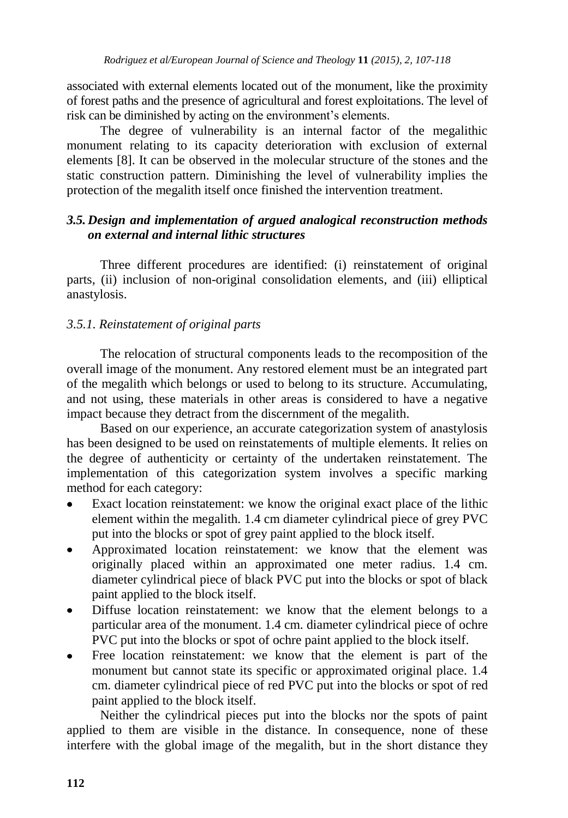associated with external elements located out of the monument, like the proximity of forest paths and the presence of agricultural and forest exploitations. The level of risk can be diminished by acting on the environment's elements.

The degree of vulnerability is an internal factor of the megalithic monument relating to its capacity deterioration with exclusion of external elements [8]. It can be observed in the molecular structure of the stones and the static construction pattern. Diminishing the level of vulnerability implies the protection of the megalith itself once finished the intervention treatment.

## *3.5. Design and implementation of argued analogical reconstruction methods on external and internal lithic structures*

Three different procedures are identified: (i) reinstatement of original parts, (ii) inclusion of non-original consolidation elements, and (iii) elliptical anastylosis.

## *3.5.1. Reinstatement of original parts*

The relocation of structural components leads to the recomposition of the overall image of the monument. Any restored element must be an integrated part of the megalith which belongs or used to belong to its structure. Accumulating, and not using, these materials in other areas is considered to have a negative impact because they detract from the discernment of the megalith.

Based on our experience, an accurate categorization system of anastylosis has been designed to be used on reinstatements of multiple elements. It relies on the degree of authenticity or certainty of the undertaken reinstatement. The implementation of this categorization system involves a specific marking method for each category:

- Exact location reinstatement: we know the original exact place of the lithic element within the megalith. 1.4 cm diameter cylindrical piece of grey PVC put into the blocks or spot of grey paint applied to the block itself.
- Approximated location reinstatement: we know that the element was originally placed within an approximated one meter radius. 1.4 cm. diameter cylindrical piece of black PVC put into the blocks or spot of black paint applied to the block itself.
- Diffuse location reinstatement: we know that the element belongs to a particular area of the monument. 1.4 cm. diameter cylindrical piece of ochre PVC put into the blocks or spot of ochre paint applied to the block itself.
- Free location reinstatement: we know that the element is part of the monument but cannot state its specific or approximated original place. 1.4 cm. diameter cylindrical piece of red PVC put into the blocks or spot of red paint applied to the block itself.

Neither the cylindrical pieces put into the blocks nor the spots of paint applied to them are visible in the distance. In consequence, none of these interfere with the global image of the megalith, but in the short distance they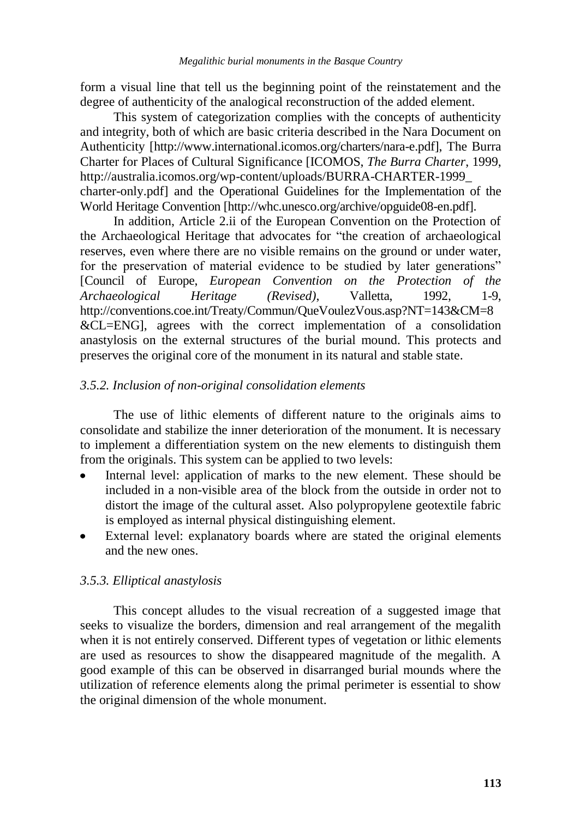form a visual line that tell us the beginning point of the reinstatement and the degree of authenticity of the analogical reconstruction of the added element.

This system of categorization complies with the concepts of authenticity and integrity, both of which are basic criteria described in the Nara Document on Authenticity [http://www.international.icomos.org/charters/nara-e.pdf], The Burra Charter for Places of Cultural Significance [ICOMOS, *The Burra Charter*, 1999, http://australia.icomos.org/wp-content/uploads/BURRA-CHARTER-1999\_ charter-only.pdf] and the Operational Guidelines for the Implementation of the World Heritage Convention [\[http://whc.unesco.org/archive/opguide08-en.pdf\]](http://whc.unesco.org/archive/opguide08-es.pdf).

In addition, Article 2.ii of the European Convention on the Protection of the Archaeological Heritage that advocates for "the creation of archaeological reserves, even where there are no visible remains on the ground or under water, for the preservation of material evidence to be studied by later generations" [Council of Europe, *European Convention on the Protection of the Archaeological Heritage (Revised)*, Valletta, 1992, 1-9, http://conventions.coe.int/Treaty/Commun/QueVoulezVous.asp?NT=143&CM=8 &CL=ENG], agrees with the correct implementation of a consolidation anastylosis on the external structures of the burial mound. This protects and preserves the original core of the monument in its natural and stable state.

#### *3.5.2. Inclusion of non-original consolidation elements*

The use of lithic elements of different nature to the originals aims to consolidate and stabilize the inner deterioration of the monument. It is necessary to implement a differentiation system on the new elements to distinguish them from the originals. This system can be applied to two levels:

- Internal level: application of marks to the new element. These should be included in a non-visible area of the block from the outside in order not to distort the image of the cultural asset. Also polypropylene geotextile fabric is employed as internal physical distinguishing element.
- External level: explanatory boards where are stated the original elements and the new ones.

#### *3.5.3. Elliptical anastylosis*

This concept alludes to the visual recreation of a suggested image that seeks to visualize the borders, dimension and real arrangement of the megalith when it is not entirely conserved. Different types of vegetation or lithic elements are used as resources to show the disappeared magnitude of the megalith. A good example of this can be observed in disarranged burial mounds where the utilization of reference elements along the primal perimeter is essential to show the original dimension of the whole monument.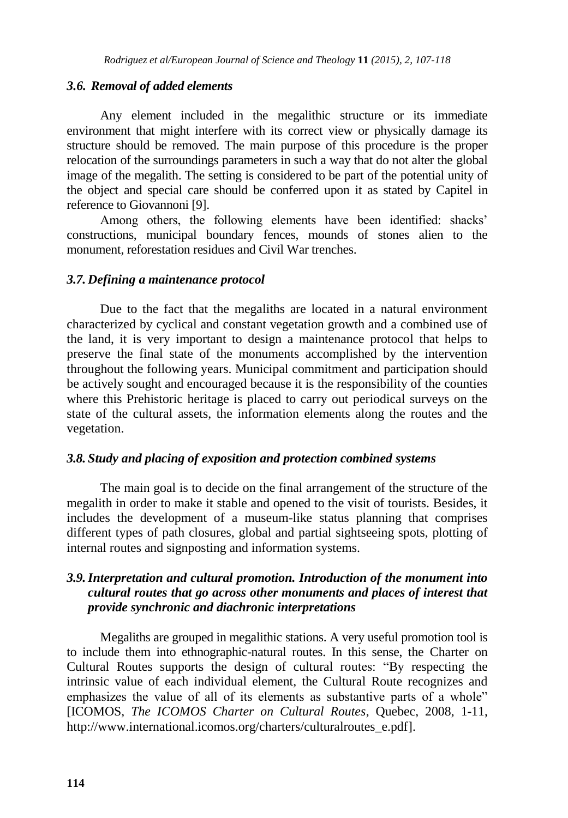#### *3.6. Removal of added elements*

Any element included in the megalithic structure or its immediate environment that might interfere with its correct view or physically damage its structure should be removed. The main purpose of this procedure is the proper relocation of the surroundings parameters in such a way that do not alter the global image of the megalith. The setting is considered to be part of the potential unity of the object and special care should be conferred upon it as stated by Capitel in reference to Giovannoni [9].

Among others, the following elements have been identified: shacks' constructions, municipal boundary fences, mounds of stones alien to the monument, reforestation residues and Civil War trenches.

#### *3.7. Defining a maintenance protocol*

Due to the fact that the megaliths are located in a natural environment characterized by cyclical and constant vegetation growth and a combined use of the land, it is very important to design a maintenance protocol that helps to preserve the final state of the monuments accomplished by the intervention throughout the following years. Municipal commitment and participation should be actively sought and encouraged because it is the responsibility of the counties where this Prehistoric heritage is placed to carry out periodical surveys on the state of the cultural assets, the information elements along the routes and the vegetation.

#### *3.8. Study and placing of exposition and protection combined systems*

The main goal is to decide on the final arrangement of the structure of the megalith in order to make it stable and opened to the visit of tourists. Besides, it includes the development of a museum-like status planning that comprises different types of path closures, global and partial sightseeing spots, plotting of internal routes and signposting and information systems.

## *3.9.Interpretation and cultural promotion. Introduction of the monument into cultural routes that go across other monuments and places of interest that provide synchronic and diachronic interpretations*

Megaliths are grouped in megalithic stations. A very useful promotion tool is to include them into ethnographic-natural routes. In this sense, the Charter on Cultural Routes supports the design of cultural routes: "By respecting the intrinsic value of each individual element, the Cultural Route recognizes and emphasizes the value of all of its elements as substantive parts of a whole" [ICOMOS, *The ICOMOS Charter on Cultural Routes*, Quebec, 2008, 1-11, http://www.international.icomos.org/charters/culturalroutes\_e.pdf].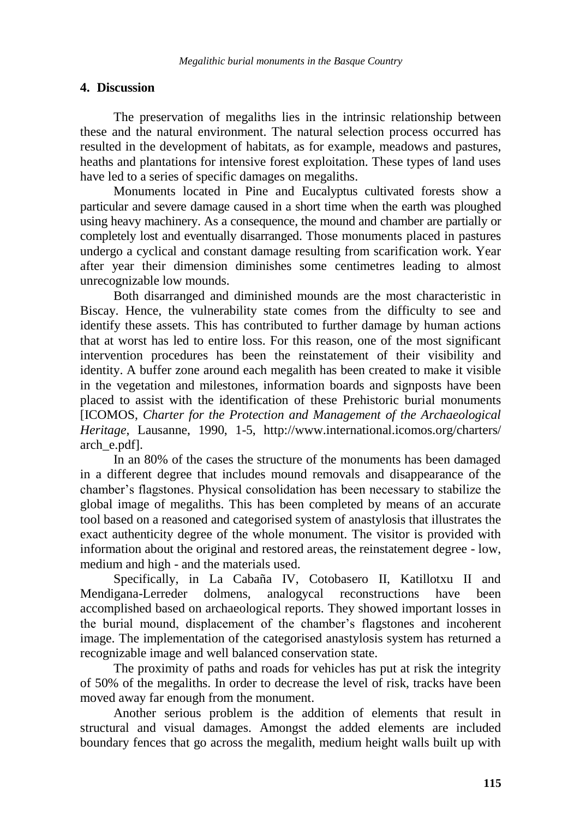#### **4. Discussion**

The preservation of megaliths lies in the intrinsic relationship between these and the natural environment. The natural selection process occurred has resulted in the development of habitats, as for example, meadows and pastures, heaths and plantations for intensive forest exploitation. These types of land uses have led to a series of specific damages on megaliths.

Monuments located in Pine and Eucalyptus cultivated forests show a particular and severe damage caused in a short time when the earth was ploughed using heavy machinery. As a consequence, the mound and chamber are partially or completely lost and eventually disarranged. Those monuments placed in pastures undergo a cyclical and constant damage resulting from scarification work. Year after year their dimension diminishes some centimetres leading to almost unrecognizable low mounds.

Both disarranged and diminished mounds are the most characteristic in Biscay. Hence, the vulnerability state comes from the difficulty to see and identify these assets. This has contributed to further damage by human actions that at worst has led to entire loss. For this reason, one of the most significant intervention procedures has been the reinstatement of their visibility and identity. A buffer zone around each megalith has been created to make it visible in the vegetation and milestones, information boards and signposts have been placed to assist with the identification of these Prehistoric burial monuments [ICOMOS, *Charter for the Protection and Management of the Archaeological Heritage*, Lausanne, 1990, 1-5, http://www.international.icomos.org/charters/ arch\_e.pdf].

In an 80% of the cases the structure of the monuments has been damaged in a different degree that includes mound removals and disappearance of the chamber's flagstones. Physical consolidation has been necessary to stabilize the global image of megaliths. This has been completed by means of an accurate tool based on a reasoned and categorised system of anastylosis that illustrates the exact authenticity degree of the whole monument. The visitor is provided with information about the original and restored areas, the reinstatement degree - low, medium and high - and the materials used.

Specifically, in La Cabaña IV, Cotobasero II, Katillotxu II and Mendigana-Lerreder dolmens, analogycal reconstructions have been accomplished based on archaeological reports. They showed important losses in the burial mound, displacement of the chamber's flagstones and incoherent image. The implementation of the categorised anastylosis system has returned a recognizable image and well balanced conservation state.

The proximity of paths and roads for vehicles has put at risk the integrity of 50% of the megaliths. In order to decrease the level of risk, tracks have been moved away far enough from the monument.

Another serious problem is the addition of elements that result in structural and visual damages. Amongst the added elements are included boundary fences that go across the megalith, medium height walls built up with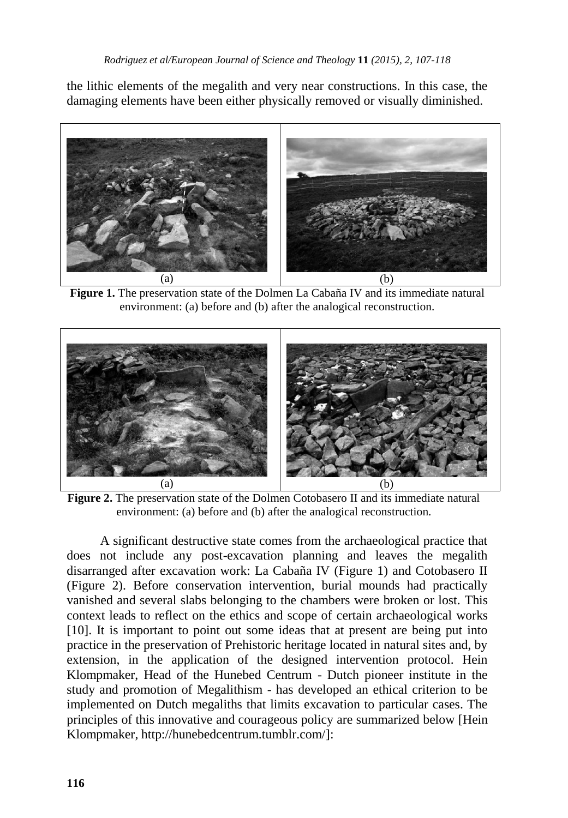the lithic elements of the megalith and very near constructions. In this case, the damaging elements have been either physically removed or visually diminished.



**Figure 1.** The preservation state of the Dolmen La Cabaña IV and its immediate natural environment: (a) before and (b) after the analogical reconstruction.



**Figure 2.** The preservation state of the Dolmen Cotobasero II and its immediate natural environment: (a) before and (b) after the analogical reconstruction.

A significant destructive state comes from the archaeological practice that does not include any post-excavation planning and leaves the megalith disarranged after excavation work: La Cabaña IV (Figure 1) and Cotobasero II (Figure 2). Before conservation intervention, burial mounds had practically vanished and several slabs belonging to the chambers were broken or lost. This context leads to reflect on the ethics and scope of certain archaeological works [10]. It is important to point out some ideas that at present are being put into practice in the preservation of Prehistoric heritage located in natural sites and, by extension, in the application of the designed intervention protocol. Hein Klompmaker, Head of the Hunebed Centrum - Dutch pioneer institute in the study and promotion of Megalithism - has developed an ethical criterion to be implemented on Dutch megaliths that limits excavation to particular cases. The principles of this innovative and courageous policy are summarized below [Hein Klompmaker, http://hunebedcentrum.tumblr.com/]: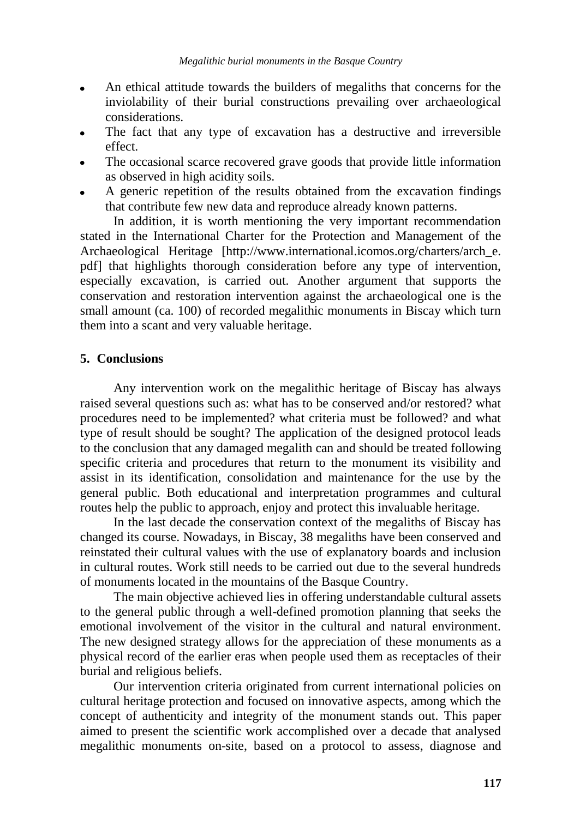- An ethical attitude towards the builders of megaliths that concerns for the inviolability of their burial constructions prevailing over archaeological considerations.
- The fact that any type of excavation has a destructive and irreversible effect.
- The occasional scarce recovered grave goods that provide little information as observed in high acidity soils.
- A generic repetition of the results obtained from the excavation findings that contribute few new data and reproduce already known patterns.

In addition, it is worth mentioning the very important recommendation stated in the International Charter for the Protection and Management of the Archaeological Heritage [http://www.international.icomos.org/charters/arch\_e. pdf] that highlights thorough consideration before any type of intervention, especially excavation, is carried out. Another argument that supports the conservation and restoration intervention against the archaeological one is the small amount (ca. 100) of recorded megalithic monuments in Biscay which turn them into a scant and very valuable heritage.

## **5. Conclusions**

Any intervention work on the megalithic heritage of Biscay has always raised several questions such as: what has to be conserved and/or restored? what procedures need to be implemented? what criteria must be followed? and what type of result should be sought? The application of the designed protocol leads to the conclusion that any damaged megalith can and should be treated following specific criteria and procedures that return to the monument its visibility and assist in its identification, consolidation and maintenance for the use by the general public. Both educational and interpretation programmes and cultural routes help the public to approach, enjoy and protect this invaluable heritage.

In the last decade the conservation context of the megaliths of Biscay has changed its course. Nowadays, in Biscay, 38 megaliths have been conserved and reinstated their cultural values with the use of explanatory boards and inclusion in cultural routes. Work still needs to be carried out due to the several hundreds of monuments located in the mountains of the Basque Country.

The main objective achieved lies in offering understandable cultural assets to the general public through a well-defined promotion planning that seeks the emotional involvement of the visitor in the cultural and natural environment. The new designed strategy allows for the appreciation of these monuments as a physical record of the earlier eras when people used them as receptacles of their burial and religious beliefs.

Our intervention criteria originated from current international policies on cultural heritage protection and focused on innovative aspects, among which the concept of authenticity and integrity of the monument stands out. This paper aimed to present the scientific work accomplished over a decade that analysed megalithic monuments on-site, based on a protocol to assess, diagnose and